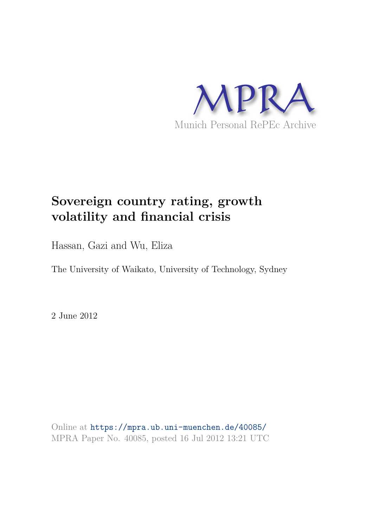

# **Sovereign country rating, growth volatility and financial crisis**

Hassan, Gazi and Wu, Eliza

The University of Waikato, University of Technology, Sydney

2 June 2012

Online at https://mpra.ub.uni-muenchen.de/40085/ MPRA Paper No. 40085, posted 16 Jul 2012 13:21 UTC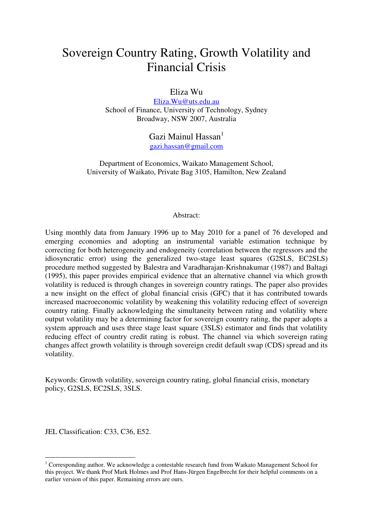## Sovereign Country Rating, Growth Volatility and Financial Crisis

Eliza Wu

[Eliza.Wu@uts.edu.au](mailto:Eliza.Wu@uts.edu.au) School of Finance, University of Technology, Sydney Broadway, NSW 2007, Australia

> Gazi Mainul Hassan $<sup>1</sup>$ </sup> [gazi.hassan@gmail.com](mailto:gazi.hassan@gmail.com)

Department of Economics, Waikato Management School, University of Waikato, Private Bag 3105, Hamilton, New Zealand

#### Abstract:

Using monthly data from January 1996 up to May 2010 for a panel of 76 developed and emerging economies and adopting an instrumental variable estimation technique by correcting for both heterogeneity and endogeneity (correlation between the regressors and the idiosyncratic error) using the generalized two-stage least squares (G2SLS, EC2SLS) procedure method suggested by Balestra and Varadharajan-Krishnakumar (1987) and Baltagi (1995), this paper provides empirical evidence that an alternative channel via which growth volatility is reduced is through changes in sovereign country ratings. The paper also provides a new insight on the effect of global financial crisis (GFC) that it has contributed towards increased macroeconomic volatility by weakening this volatility reducing effect of sovereign country rating. Finally acknowledging the simultaneity between rating and volatility where output volatility may be a determining factor for sovereign country rating, the paper adopts a system approach and uses three stage least square (3SLS) estimator and finds that volatility reducing effect of country credit rating is robust. The channel via which sovereign rating changes affect growth volatility is through sovereign credit default swap (CDS) spread and its volatility.

Keywords: Growth volatility, sovereign country rating, global financial crisis, monetary policy, G2SLS, EC2SLS, 3SLS.

JEL Classification: C33, C36, E52.

-

<sup>&</sup>lt;sup>1</sup> Corresponding author. We acknowledge a contestable research fund from Waikato Management School for this project. We thank Prof Mark Holmes and Prof Hans-Jürgen Engelbrecht for their helpful comments on a earlier version of this paper. Remaining errors are ours.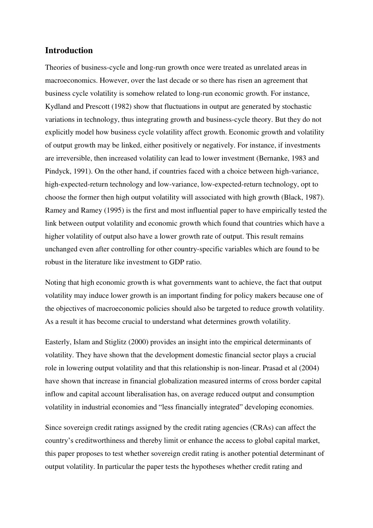#### **Introduction**

Theories of business-cycle and long-run growth once were treated as unrelated areas in macroeconomics. However, over the last decade or so there has risen an agreement that business cycle volatility is somehow related to long-run economic growth. For instance, Kydland and Prescott (1982) show that fluctuations in output are generated by stochastic variations in technology, thus integrating growth and business-cycle theory. But they do not explicitly model how business cycle volatility affect growth. Economic growth and volatility of output growth may be linked, either positively or negatively. For instance, if investments are irreversible, then increased volatility can lead to lower investment (Bernanke, 1983 and Pindyck, 1991). On the other hand, if countries faced with a choice between high-variance, high-expected-return technology and low-variance, low-expected-return technology, opt to choose the former then high output volatility will associated with high growth (Black, 1987). Ramey and Ramey (1995) is the first and most influential paper to have empirically tested the link between output volatility and economic growth which found that countries which have a higher volatility of output also have a lower growth rate of output. This result remains unchanged even after controlling for other country-specific variables which are found to be robust in the literature like investment to GDP ratio.

Noting that high economic growth is what governments want to achieve, the fact that output volatility may induce lower growth is an important finding for policy makers because one of the objectives of macroeconomic policies should also be targeted to reduce growth volatility. As a result it has become crucial to understand what determines growth volatility.

Easterly, Islam and Stiglitz (2000) provides an insight into the empirical determinants of volatility. They have shown that the development domestic financial sector plays a crucial role in lowering output volatility and that this relationship is non-linear. Prasad et al (2004) have shown that increase in financial globalization measured interms of cross border capital inflow and capital account liberalisation has, on average reduced output and consumption volatility in industrial economies and "less financially integrated" developing economies.

Since sovereign credit ratings assigned by the credit rating agencies (CRAs) can affect the country's creditworthiness and thereby limit or enhance the access to global capital market, this paper proposes to test whether sovereign credit rating is another potential determinant of output volatility. In particular the paper tests the hypotheses whether credit rating and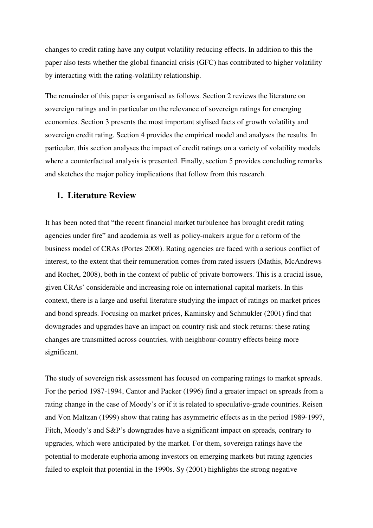changes to credit rating have any output volatility reducing effects. In addition to this the paper also tests whether the global financial crisis (GFC) has contributed to higher volatility by interacting with the rating-volatility relationship.

The remainder of this paper is organised as follows. Section 2 reviews the literature on sovereign ratings and in particular on the relevance of sovereign ratings for emerging economies. Section 3 presents the most important stylised facts of growth volatility and sovereign credit rating. Section 4 provides the empirical model and analyses the results. In particular, this section analyses the impact of credit ratings on a variety of volatility models where a counterfactual analysis is presented. Finally, section 5 provides concluding remarks and sketches the major policy implications that follow from this research.

#### **1. Literature Review**

It has been noted that "the recent financial market turbulence has brought credit rating agencies under fire" and academia as well as policy-makers argue for a reform of the business model of CRAs (Portes 2008). Rating agencies are faced with a serious conflict of interest, to the extent that their remuneration comes from rated issuers (Mathis, McAndrews and Rochet, 2008), both in the context of public of private borrowers. This is a crucial issue, given CRAs' considerable and increasing role on international capital markets. In this context, there is a large and useful literature studying the impact of ratings on market prices and bond spreads. Focusing on market prices, Kaminsky and Schmukler (2001) find that downgrades and upgrades have an impact on country risk and stock returns: these rating changes are transmitted across countries, with neighbour-country effects being more significant.

The study of sovereign risk assessment has focused on comparing ratings to market spreads. For the period 1987-1994, Cantor and Packer (1996) find a greater impact on spreads from a rating change in the case of Moody's or if it is related to speculative-grade countries. Reisen and Von Maltzan (1999) show that rating has asymmetric effects as in the period 1989-1997, Fitch, Moody's and S&P's downgrades have a significant impact on spreads, contrary to upgrades, which were anticipated by the market. For them, sovereign ratings have the potential to moderate euphoria among investors on emerging markets but rating agencies failed to exploit that potential in the 1990s. Sy (2001) highlights the strong negative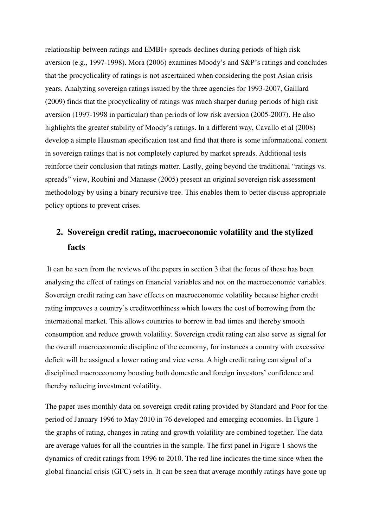relationship between ratings and EMBI+ spreads declines during periods of high risk aversion (e.g., 1997-1998). Mora (2006) examines Moody's and S&P's ratings and concludes that the procyclicality of ratings is not ascertained when considering the post Asian crisis years. Analyzing sovereign ratings issued by the three agencies for 1993-2007, Gaillard (2009) finds that the procyclicality of ratings was much sharper during periods of high risk aversion (1997-1998 in particular) than periods of low risk aversion (2005-2007). He also highlights the greater stability of Moody's ratings. In a different way, Cavallo et al (2008) develop a simple Hausman specification test and find that there is some informational content in sovereign ratings that is not completely captured by market spreads. Additional tests reinforce their conclusion that ratings matter. Lastly, going beyond the traditional "ratings vs. spreads" view, Roubini and Manasse (2005) present an original sovereign risk assessment methodology by using a binary recursive tree. This enables them to better discuss appropriate policy options to prevent crises.

### **2. Sovereign credit rating, macroeconomic volatility and the stylized facts**

 It can be seen from the reviews of the papers in section 3 that the focus of these has been analysing the effect of ratings on financial variables and not on the macroeconomic variables. Sovereign credit rating can have effects on macroeconomic volatility because higher credit rating improves a country's creditworthiness which lowers the cost of borrowing from the international market. This allows countries to borrow in bad times and thereby smooth consumption and reduce growth volatility. Sovereign credit rating can also serve as signal for the overall macroeconomic discipline of the economy, for instances a country with excessive deficit will be assigned a lower rating and vice versa. A high credit rating can signal of a disciplined macroeconomy boosting both domestic and foreign investors' confidence and thereby reducing investment volatility.

The paper uses monthly data on sovereign credit rating provided by Standard and Poor for the period of January 1996 to May 2010 in 76 developed and emerging economies. In Figure 1 the graphs of rating, changes in rating and growth volatility are combined together. The data are average values for all the countries in the sample. The first panel in Figure 1 shows the dynamics of credit ratings from 1996 to 2010. The red line indicates the time since when the global financial crisis (GFC) sets in. It can be seen that average monthly ratings have gone up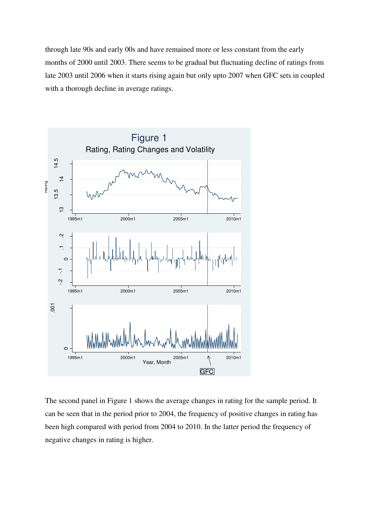through late 90s and early 00s and have remained more or less constant from the early months of 2000 until 2003. There seems to be gradual but fluctuating decline of ratings from late 2003 until 2006 when it starts rising again but only upto 2007 when GFC sets in coupled with a thorough decline in average ratings.



The second panel in Figure 1 shows the average changes in rating for the sample period. It can be seen that in the period prior to 2004, the frequency of positive changes in rating has been high compared with period from 2004 to 2010. In the latter period the frequency of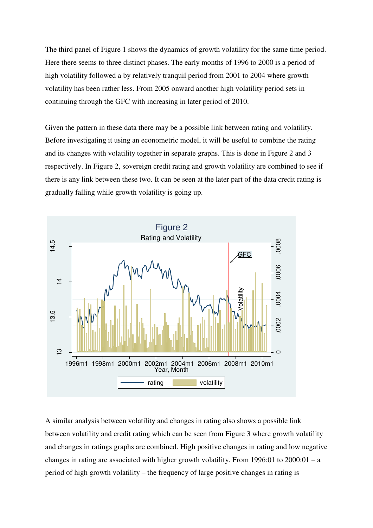The third panel of Figure 1 shows the dynamics of growth volatility for the same time period. Here there seems to three distinct phases. The early months of 1996 to 2000 is a period of high volatility followed a by relatively tranquil period from 2001 to 2004 where growth volatility has been rather less. From 2005 onward another high volatility period sets in continuing through the GFC with increasing in later period of 2010.

Given the pattern in these data there may be a possible link between rating and volatility. Before investigating it using an econometric model, it will be useful to combine the rating and its changes with volatility together in separate graphs. This is done in Figure 2 and 3 respectively. In Figure 2, sovereign credit rating and growth volatility are combined to see if there is any link between these two. It can be seen at the later part of the data credit rating is gradually falling while growth volatility is going up.



A similar analysis between volatility and changes in rating also shows a possible link between volatility and credit rating which can be seen from Figure 3 where growth volatility and changes in ratings graphs are combined. High positive changes in rating and low negative changes in rating are associated with higher growth volatility. From 1996:01 to  $2000:01 - a$ period of high growth volatility – the frequency of large positive changes in rating is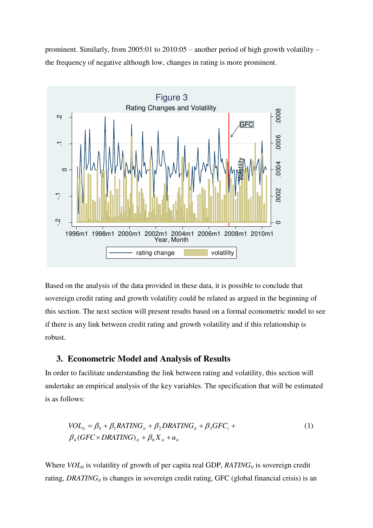prominent. Similarly, from 2005:01 to 2010:05 – another period of high growth volatility – the frequency of negative although low, changes in rating is more prominent.



Based on the analysis of the data provided in these data, it is possible to conclude that sovereign credit rating and growth volatility could be related as argued in the beginning of this section. The next section will present results based on a formal econometric model to see if there is any link between credit rating and growth volatility and if this relationship is robust.

#### **3. Econometric Model and Analysis of Results**

In order to facilitate understanding the link between rating and volatility, this section will undertake an empirical analysis of the key variables. The specification that will be estimated is as follows:

$$
VOL_{it} = \beta_0 + \beta_1 RATING_{it} + \beta_2 DRATING_{it} + \beta_3 GFC_i +
$$
  
\n
$$
\beta_4 (GFC \times DRATING)_{it} + \beta_6 X_{it} + u_{it}
$$
\n(1)

Where *VOL<sub>it</sub>* is volatility of growth of per capita real GDP, *RATING<sub>it</sub>* is sovereign credit rating, *DRATING<sub>it</sub>* is changes in sovereign credit rating, GFC (global financial crisis) is an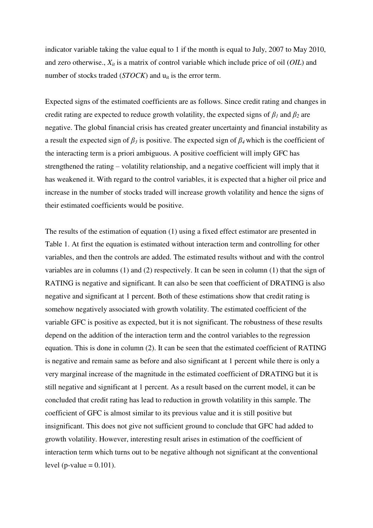indicator variable taking the value equal to 1 if the month is equal to July, 2007 to May 2010, and zero otherwise., *Xit* is a matrix of control variable which include price of oil (*OIL*) and number of stocks traded  $(TOCK)$  and  $u_{it}$  is the error term.

Expected signs of the estimated coefficients are as follows. Since credit rating and changes in credit rating are expected to reduce growth volatility, the expected signs of  $\beta_1$  and  $\beta_2$  are negative. The global financial crisis has created greater uncertainty and financial instability as a result the expected sign of *β3* is positive. The expected sign of *β4* which is the coefficient of the interacting term is a priori ambiguous. A positive coefficient will imply GFC has strengthened the rating – volatility relationship, and a negative coefficient will imply that it has weakened it. With regard to the control variables, it is expected that a higher oil price and increase in the number of stocks traded will increase growth volatility and hence the signs of their estimated coefficients would be positive.

The results of the estimation of equation (1) using a fixed effect estimator are presented in Table 1. At first the equation is estimated without interaction term and controlling for other variables, and then the controls are added. The estimated results without and with the control variables are in columns (1) and (2) respectively. It can be seen in column (1) that the sign of RATING is negative and significant. It can also be seen that coefficient of DRATING is also negative and significant at 1 percent. Both of these estimations show that credit rating is somehow negatively associated with growth volatility. The estimated coefficient of the variable GFC is positive as expected, but it is not significant. The robustness of these results depend on the addition of the interaction term and the control variables to the regression equation. This is done in column (2). It can be seen that the estimated coefficient of RATING is negative and remain same as before and also significant at 1 percent while there is only a very marginal increase of the magnitude in the estimated coefficient of DRATING but it is still negative and significant at 1 percent. As a result based on the current model, it can be concluded that credit rating has lead to reduction in growth volatility in this sample. The coefficient of GFC is almost similar to its previous value and it is still positive but insignificant. This does not give not sufficient ground to conclude that GFC had added to growth volatility. However, interesting result arises in estimation of the coefficient of interaction term which turns out to be negative although not significant at the conventional level (p-value  $= 0.101$ ).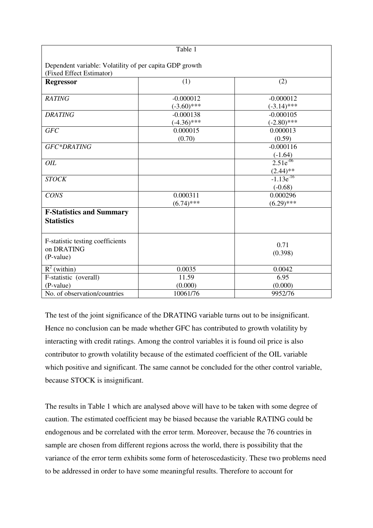|                                                                                     | Table 1       |                |
|-------------------------------------------------------------------------------------|---------------|----------------|
|                                                                                     |               |                |
| Dependent variable: Volatility of per capita GDP growth<br>(Fixed Effect Estimator) |               |                |
| <b>Regressor</b>                                                                    | (1)           | (2)            |
|                                                                                     |               |                |
| <b>RATING</b>                                                                       | $-0.000012$   | $-0.000012$    |
|                                                                                     | $(-3.60)$ *** | $(-3.14)$ ***  |
| <b>DRATING</b>                                                                      | $-0.000138$   | $-0.000105$    |
|                                                                                     | $(-4.36)$ *** | $(-2.80)$ ***  |
| <b>GFC</b>                                                                          | 0.000015      | 0.000013       |
|                                                                                     | (0.70)        | (0.59)         |
| GFC*DRATING                                                                         |               | $-0.000116$    |
|                                                                                     |               | $(-1.64)$      |
| OIL                                                                                 |               | $2.51e^{-06}$  |
|                                                                                     |               | $(2.44)$ **    |
| <b>STOCK</b>                                                                        |               | $-1.13e^{-16}$ |
|                                                                                     |               | $(-0.68)$      |
| <b>CONS</b>                                                                         | 0.000311      | 0.000296       |
|                                                                                     | $(6.74)$ ***  | $(6.29)$ ***   |
| <b>F-Statistics and Summary</b>                                                     |               |                |
| <b>Statistics</b>                                                                   |               |                |
| F-statistic testing coefficients                                                    |               |                |
| on DRATING                                                                          |               | 0.71           |
| (P-value)                                                                           |               | (0.398)        |
| $R^2$ (within)                                                                      | 0.0035        | 0.0042         |
| F-statistic (overall)                                                               | 11.59         | 6.95           |
| (P-value)                                                                           | (0.000)       | (0.000)        |
| No. of observation/countries                                                        | 10061/76      | 9952/76        |

The test of the joint significance of the DRATING variable turns out to be insignificant. Hence no conclusion can be made whether GFC has contributed to growth volatility by interacting with credit ratings. Among the control variables it is found oil price is also contributor to growth volatility because of the estimated coefficient of the OIL variable which positive and significant. The same cannot be concluded for the other control variable, because STOCK is insignificant.

The results in Table 1 which are analysed above will have to be taken with some degree of caution. The estimated coefficient may be biased because the variable RATING could be endogenous and be correlated with the error term. Moreover, because the 76 countries in sample are chosen from different regions across the world, there is possibility that the variance of the error term exhibits some form of heteroscedasticity. These two problems need to be addressed in order to have some meaningful results. Therefore to account for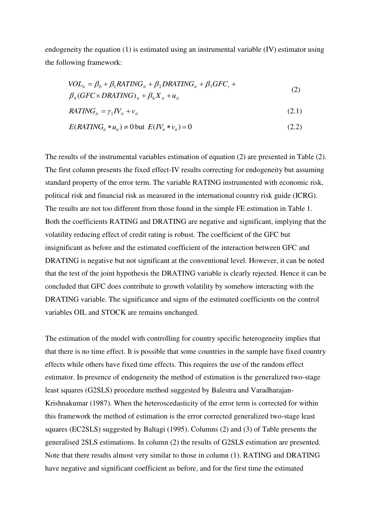endogeneity the equation (1) is estimated using an instrumental variable (IV) estimator using the following framework:

$$
VOL_{it} = \beta_0 + \beta_1 RATING_{it} + \beta_2 DRATING_{it} + \beta_3 GFC_i +
$$
  
\n
$$
\beta_4 (GFC \times DRATING)_{it} + \beta_6 X_{it} + u_{it}
$$
\n(2)

$$
RATING_{it} = \gamma_1 IV_{it} + v_{it} \tag{2.1}
$$

$$
E(RATINGit * uit) \neq 0 \text{ but } E(IVit * vit) = 0
$$
\n(2.2)

The results of the instrumental variables estimation of equation (2) are presented in Table (2). The first column presents the fixed effect-IV results correcting for endogeneity but assuming standard property of the error term. The variable RATING instrumented with economic risk, political risk and financial risk as measured in the international country risk guide (ICRG). The results are not too different from those found in the simple FE estimation in Table 1. Both the coefficients RATING and DRATING are negative and significant, implying that the volatility reducing effect of credit rating is robust. The coefficient of the GFC but insignificant as before and the estimated coefficient of the interaction between GFC and DRATING is negative but not significant at the conventional level. However, it can be noted that the test of the joint hypothesis the DRATING variable is clearly rejected. Hence it can be concluded that GFC does contribute to growth volatility by somehow interacting with the DRATING variable. The significance and signs of the estimated coefficients on the control variables OIL and STOCK are remains unchanged.

The estimation of the model with controlling for country specific heterogeneity implies that that there is no time effect. It is possible that some countries in the sample have fixed country effects while others have fixed time effects. This requires the use of the random effect estimator. In presence of endogeneity the method of estimation is the generalized two-stage least squares (G2SLS) procedure method suggested by Balestra and Varadharajan-Krishnakumar (1987). When the heteroscedasticity of the error term is corrected for within this framework the method of estimation is the error corrected generalized two-stage least squares (EC2SLS) suggested by Baltagi (1995). Columns (2) and (3) of Table presents the generalised 2SLS estimations. In column (2) the results of G2SLS estimation are presented. Note that there results almost very similar to those in column (1). RATING and DRATING have negative and significant coefficient as before, and for the first time the estimated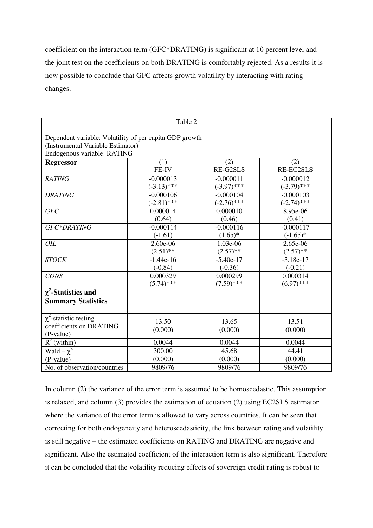coefficient on the interaction term (GFC\*DRATING) is significant at 10 percent level and the joint test on the coefficients on both DRATING is comfortably rejected. As a results it is now possible to conclude that GFC affects growth volatility by interacting with rating changes.

| Table 2                                                                                                                     |                  |                  |                  |
|-----------------------------------------------------------------------------------------------------------------------------|------------------|------------------|------------------|
| Dependent variable: Volatility of per capita GDP growth<br>(Instrumental Variable Estimator)<br>Endogenous variable: RATING |                  |                  |                  |
| <b>Regressor</b>                                                                                                            | (1)              | (2)              | (2)              |
|                                                                                                                             | FE-IV            | RE-G2SLS         | RE-EC2SLS        |
| <b>RATING</b>                                                                                                               | $-0.000013$      | $-0.000011$      | $-0.000012$      |
|                                                                                                                             | $(-3.13)$ ***    | $(-3.97)$ ***    | $(-3.79)$ ***    |
| <b>DRATING</b>                                                                                                              | $-0.000106$      | $-0.000104$      | $-0.000103$      |
|                                                                                                                             | $(-2.81)$ ***    | $(-2.76)$ ***    | $(-2.74)$ ***    |
| <b>GFC</b>                                                                                                                  | 0.000014         | 0.000010         | 8.95e-06         |
|                                                                                                                             | (0.64)           | (0.46)           | (0.41)           |
| GFC*DRATING                                                                                                                 | $-0.000114$      | $-0.000116$      | $-0.000117$      |
|                                                                                                                             | $(-1.61)$        | $(1.65)^*$       | $(-1.65)*$       |
| OIL                                                                                                                         | 2.60e-06         | 1.03e-06         | 2.65e-06         |
|                                                                                                                             | $(2.51)$ **      | $(2.57)$ **      | $(2.57)$ **      |
| <b>STOCK</b>                                                                                                                | $-1.44e-16$      | $-5.40e-17$      | $-3.18e-17$      |
|                                                                                                                             | $(-0.84)$        | $(-0.36)$        | $(-0.21)$        |
| <b>CONS</b>                                                                                                                 | 0.000329         | 0.000299         | 0.000314         |
|                                                                                                                             | $(5.74)$ ***     | $(7.59)$ ***     | $(6.97)$ ***     |
| $\chi^2$ -Statistics and                                                                                                    |                  |                  |                  |
| <b>Summary Statistics</b>                                                                                                   |                  |                  |                  |
| $\chi^2$ -statistic testing<br>coefficients on DRATING<br>(P-value)                                                         | 13.50<br>(0.000) | 13.65<br>(0.000) | 13.51<br>(0.000) |
| $R^2$ (within)                                                                                                              | 0.0044           | 0.0044           | 0.0044           |
| Wald $-\chi^2$                                                                                                              | 300.00           | 45.68            | 44.41            |
| (P-value)                                                                                                                   | (0.000)          | (0.000)          | (0.000)          |
| No. of observation/countries                                                                                                | 9809/76          | 9809/76          | 9809/76          |

In column (2) the variance of the error term is assumed to be homoscedastic. This assumption is relaxed, and column (3) provides the estimation of equation (2) using EC2SLS estimator where the variance of the error term is allowed to vary across countries. It can be seen that correcting for both endogeneity and heteroscedasticity, the link between rating and volatility is still negative – the estimated coefficients on RATING and DRATING are negative and significant. Also the estimated coefficient of the interaction term is also significant. Therefore it can be concluded that the volatility reducing effects of sovereign credit rating is robust to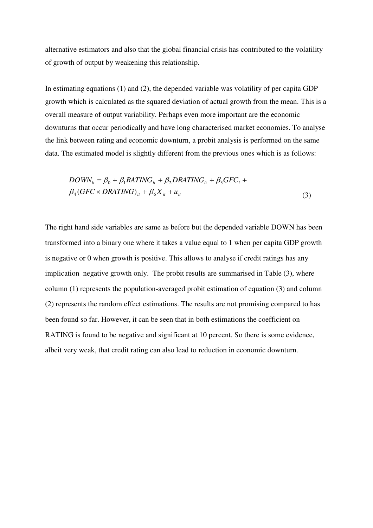alternative estimators and also that the global financial crisis has contributed to the volatility of growth of output by weakening this relationship.

In estimating equations (1) and (2), the depended variable was volatility of per capita GDP growth which is calculated as the squared deviation of actual growth from the mean. This is a overall measure of output variability. Perhaps even more important are the economic downturns that occur periodically and have long characterised market economies. To analyse the link between rating and economic downturn, a probit analysis is performed on the same data. The estimated model is slightly different from the previous ones which is as follows:

$$
DOWN_{it} = \beta_0 + \beta_1 RATING_{it} + \beta_2 DRATING_{it} + \beta_3 GFC_i +
$$
  

$$
\beta_4 (GFC \times DRATING)_{it} + \beta_6 X_{it} + u_{it}
$$
 (3)

The right hand side variables are same as before but the depended variable DOWN has been transformed into a binary one where it takes a value equal to 1 when per capita GDP growth is negative or 0 when growth is positive. This allows to analyse if credit ratings has any implication negative growth only. The probit results are summarised in Table (3), where column (1) represents the population-averaged probit estimation of equation (3) and column (2) represents the random effect estimations. The results are not promising compared to has been found so far. However, it can be seen that in both estimations the coefficient on RATING is found to be negative and significant at 10 percent. So there is some evidence, albeit very weak, that credit rating can also lead to reduction in economic downturn.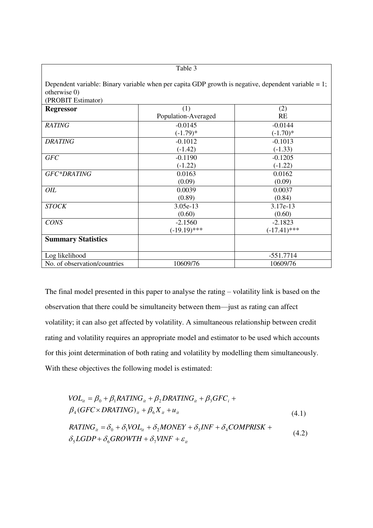|                                    | Table 3                                                                                                |                             |
|------------------------------------|--------------------------------------------------------------------------------------------------------|-----------------------------|
| otherwise 0)<br>(PROBIT Estimator) | Dependent variable: Binary variable when per capita GDP growth is negative, dependent variable $= 1$ ; |                             |
| <b>Regressor</b>                   | (1)<br>Population-Averaged                                                                             | (2)<br><b>RE</b>            |
| <b>RATING</b>                      | $-0.0145$<br>$(-1.79)^*$                                                                               | $-0.0144$<br>$(-1.70)*$     |
| <b>DRATING</b>                     | $-0.1012$<br>$(-1.42)$                                                                                 | $-0.1013$<br>$(-1.33)$      |
| <b>GFC</b>                         | $-0.1190$<br>$(-1.22)$                                                                                 | $-0.1205$<br>$(-1.22)$      |
| GFC*DRATING                        | 0.0163<br>(0.09)                                                                                       | 0.0162<br>(0.09)            |
| OIL                                | 0.0039<br>(0.89)                                                                                       | 0.0037<br>(0.84)            |
| <b>STOCK</b>                       | 3.05e-13<br>(0.60)                                                                                     | 3.17e-13<br>(0.60)          |
| <b>CONS</b>                        | $-2.1560$<br>$(-19.19)$ ***                                                                            | $-2.1823$<br>$(-17.41)$ *** |
| <b>Summary Statistics</b>          |                                                                                                        |                             |
| Log likelihood                     |                                                                                                        | $-551.7714$                 |
| No. of observation/countries       | 10609/76                                                                                               | 10609/76                    |

The final model presented in this paper to analyse the rating – volatility link is based on the observation that there could be simultaneity between them—just as rating can affect volatility; it can also get affected by volatility. A simultaneous relationship between credit rating and volatility requires an appropriate model and estimator to be used which accounts for this joint determination of both rating and volatility by modelling them simultaneously. With these objectives the following model is estimated:

$$
VOL_{ii} = \beta_0 + \beta_1 RATING_{ii} + \beta_2 DRATING_{ii} + \beta_3 GFC_i +
$$
  
\n
$$
\beta_4 (GFC \times DRATING)_{ii} + \beta_6 X_{ii} + u_{ii}
$$
  
\n
$$
RATING_{ii} = \delta_0 + \delta_1 VOL_{ii} + \delta_2 MONEY + \delta_3 INF + \delta_4 COMPRISK +
$$
  
\n
$$
\delta_5 LGDP + \delta_6 GROWTH + \delta_7 VINF + \varepsilon_{ii}
$$
\n(4.2)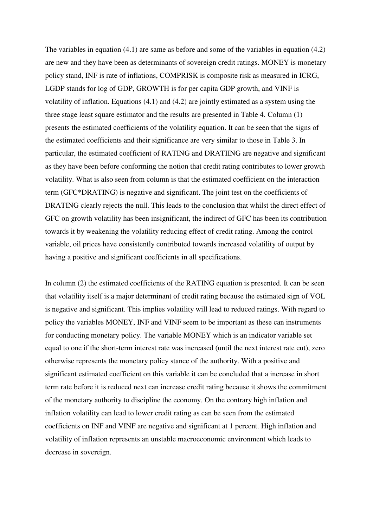The variables in equation (4.1) are same as before and some of the variables in equation (4.2) are new and they have been as determinants of sovereign credit ratings. MONEY is monetary policy stand, INF is rate of inflations, COMPRISK is composite risk as measured in ICRG, LGDP stands for log of GDP, GROWTH is for per capita GDP growth, and VINF is volatility of inflation. Equations (4.1) and (4.2) are jointly estimated as a system using the three stage least square estimator and the results are presented in Table 4. Column (1) presents the estimated coefficients of the volatility equation. It can be seen that the signs of the estimated coefficients and their significance are very similar to those in Table 3. In particular, the estimated coefficient of RATING and DRATIING are negative and significant as they have been before conforming the notion that credit rating contributes to lower growth volatility. What is also seen from column is that the estimated coefficient on the interaction term (GFC\*DRATING) is negative and significant. The joint test on the coefficients of DRATING clearly rejects the null. This leads to the conclusion that whilst the direct effect of GFC on growth volatility has been insignificant, the indirect of GFC has been its contribution towards it by weakening the volatility reducing effect of credit rating. Among the control variable, oil prices have consistently contributed towards increased volatility of output by having a positive and significant coefficients in all specifications.

In column (2) the estimated coefficients of the RATING equation is presented. It can be seen that volatility itself is a major determinant of credit rating because the estimated sign of VOL is negative and significant. This implies volatility will lead to reduced ratings. With regard to policy the variables MONEY, INF and VINF seem to be important as these can instruments for conducting monetary policy. The variable MONEY which is an indicator variable set equal to one if the short-term interest rate was increased (until the next interest rate cut), zero otherwise represents the monetary policy stance of the authority. With a positive and significant estimated coefficient on this variable it can be concluded that a increase in short term rate before it is reduced next can increase credit rating because it shows the commitment of the monetary authority to discipline the economy. On the contrary high inflation and inflation volatility can lead to lower credit rating as can be seen from the estimated coefficients on INF and VINF are negative and significant at 1 percent. High inflation and volatility of inflation represents an unstable macroeconomic environment which leads to decrease in sovereign.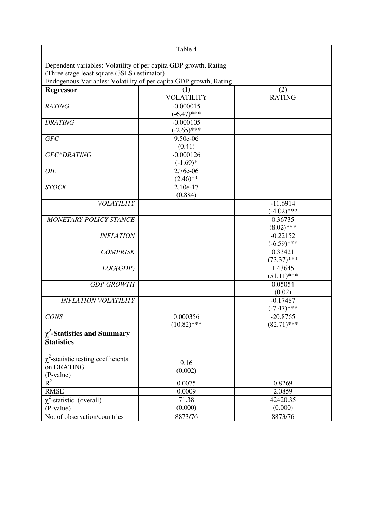|                                                                   | Table 4           |               |
|-------------------------------------------------------------------|-------------------|---------------|
| Dependent variables: Volatility of per capita GDP growth, Rating  |                   |               |
| (Three stage least square (3SLS) estimator)                       |                   |               |
| Endogenous Variables: Volatility of per capita GDP growth, Rating |                   |               |
| <b>Regressor</b>                                                  | (1)               | (2)           |
|                                                                   | <b>VOLATILITY</b> | <b>RATING</b> |
| <b>RATING</b>                                                     | $-0.000015$       |               |
|                                                                   | $(-6.47)$ ***     |               |
| <b>DRATING</b>                                                    | $-0.000105$       |               |
|                                                                   | $(-2.65)$ ***     |               |
| <b>GFC</b>                                                        | 9.50e-06          |               |
|                                                                   | (0.41)            |               |
| GFC*DRATING                                                       | $-0.000126$       |               |
|                                                                   | $(-1.69)*$        |               |
| OIL                                                               | 2.76e-06          |               |
|                                                                   | $(2.46)$ **       |               |
| <b>STOCK</b>                                                      | 2.10e-17          |               |
|                                                                   | (0.884)           |               |
| <b>VOLATILITY</b>                                                 |                   | $-11.6914$    |
|                                                                   |                   | $(-4.02)$ *** |
| <b>MONETARY POLICY STANCE</b>                                     |                   | 0.36735       |
|                                                                   |                   | $(8.02)$ ***  |
| <b>INFLATION</b>                                                  |                   | $-0.22152$    |
|                                                                   |                   | $(-6.59)$ *** |
| <b>COMPRISK</b>                                                   |                   | 0.33421       |
|                                                                   |                   | $(73.37)$ *** |
| LOG(GDP)                                                          |                   | 1.43645       |
|                                                                   |                   | $(51.11)$ *** |
| <b>GDP GROWTH</b>                                                 |                   | 0.05054       |
|                                                                   |                   | (0.02)        |
| <b>INFLATION VOLATILITY</b>                                       |                   | $-0.17487$    |
|                                                                   |                   | $(-7.47)$ *** |
| <b>CONS</b>                                                       | 0.000356          | $-20.8765$    |
|                                                                   | $(10.82)$ ***     | $(82.71)$ *** |
| $\chi^2$ -Statistics and Summary<br><b>Statistics</b>             |                   |               |
|                                                                   |                   |               |
| $\chi^2$ -statistic testing coefficients                          | 9.16              |               |
| on DRATING                                                        | (0.002)           |               |
| (P-value)<br>$\mathbf{R}^2$                                       | 0.0075            |               |
|                                                                   |                   | 0.8269        |
| <b>RMSE</b>                                                       | 0.0009<br>71.38   | 2.0859        |
| $\chi^2$ -statistic (overall)                                     |                   | 42420.35      |
| (P-value)                                                         | (0.000)           | (0.000)       |
| No. of observation/countries                                      | 8873/76           | 8873/76       |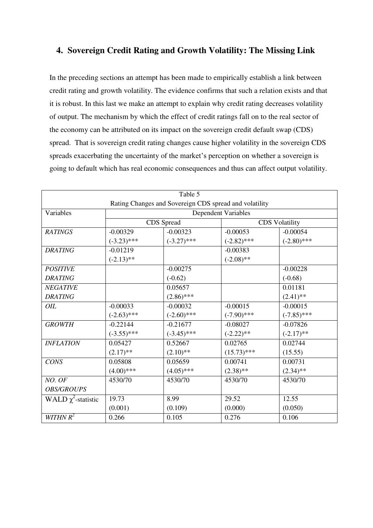#### **4. Sovereign Credit Rating and Growth Volatility: The Missing Link**

In the preceding sections an attempt has been made to empirically establish a link between credit rating and growth volatility. The evidence confirms that such a relation exists and that it is robust. In this last we make an attempt to explain why credit rating decreases volatility of output. The mechanism by which the effect of credit ratings fall on to the real sector of the economy can be attributed on its impact on the sovereign credit default swap (CDS) spread. That is sovereign credit rating changes cause higher volatility in the sovereign CDS spreads exacerbating the uncertainty of the market's perception on whether a sovereign is going to default which has real economic consequences and thus can affect output volatility.

|                                                        |                            | Table 5       |               |                       |
|--------------------------------------------------------|----------------------------|---------------|---------------|-----------------------|
| Rating Changes and Sovereign CDS spread and volatility |                            |               |               |                       |
| Variables                                              | <b>Dependent Variables</b> |               |               |                       |
|                                                        | CDS Spread                 |               |               | <b>CDS</b> Volatility |
| <b>RATINGS</b>                                         | $-0.00329$                 | $-0.00323$    | $-0.00053$    | $-0.00054$            |
|                                                        | $(-3.23)$ ***              | $(-3.27)$ *** | $(-2.82)$ *** | $(-2.80)$ ***         |
| <b>DRATING</b>                                         | $-0.01219$                 |               | $-0.00383$    |                       |
|                                                        | $(-2.13)$ **               |               | $(-2.08)$ **  |                       |
| <b>POSITIVE</b>                                        |                            | $-0.00275$    |               | $-0.00228$            |
| <b>DRATING</b>                                         |                            | $(-0.62)$     |               | $(-0.68)$             |
| <b>NEGATIVE</b>                                        |                            | 0.05657       |               | 0.01181               |
| <b>DRATING</b>                                         |                            | $(2.86)$ ***  |               | $(2.41)$ **           |
| OIL                                                    | $-0.00033$                 | $-0.00032$    | $-0.00015$    | $-0.00015$            |
|                                                        | $(-2.63)$ ***              | $(-2.60)$ *** | $(-7.90)$ *** | $(-7.85)$ ***         |
| <b>GROWTH</b>                                          | $-0.22144$                 | $-0.21677$    | $-0.08027$    | $-0.07826$            |
|                                                        | $(-3.55)$ ***              | $(-3.45)$ *** | $(-2.22)$ **  | $(-2.17)$ **          |
| <b>INFLATION</b>                                       | 0.05427                    | 0.52667       | 0.02765       | 0.02744               |
|                                                        | $(2.17)$ **                | $(2.10)$ **   | $(15.73)$ *** | (15.55)               |
| <b>CONS</b>                                            | 0.05808                    | 0.05659       | 0.00741       | 0.00731               |
|                                                        | $(4.00)$ ***               | $(4.05)$ ***  | $(2.38)$ **   | $(2.34)$ **           |
| NO. OF                                                 | 4530/70                    | 4530/70       | 4530/70       | 4530/70               |
| <b>OBS/GROUPS</b>                                      |                            |               |               |                       |
| WALD $\chi^2$ -statistic                               | 19.73                      | 8.99          | 29.52         | 12.55                 |
|                                                        | (0.001)                    | (0.109)       | (0.000)       | (0.050)               |
| WITHN $R^2$                                            | 0.266                      | 0.105         | 0.276         | 0.106                 |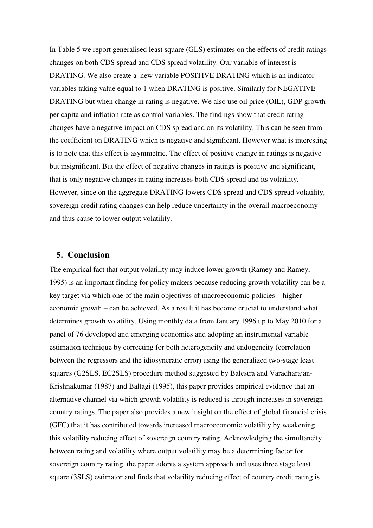In Table 5 we report generalised least square (GLS) estimates on the effects of credit ratings changes on both CDS spread and CDS spread volatility. Our variable of interest is DRATING. We also create a new variable POSITIVE DRATING which is an indicator variables taking value equal to 1 when DRATING is positive. Similarly for NEGATIVE DRATING but when change in rating is negative. We also use oil price (OIL), GDP growth per capita and inflation rate as control variables. The findings show that credit rating changes have a negative impact on CDS spread and on its volatility. This can be seen from the coefficient on DRATING which is negative and significant. However what is interesting is to note that this effect is asymmetric. The effect of positive change in ratings is negative but insignificant. But the effect of negative changes in ratings is positive and significant, that is only negative changes in rating increases both CDS spread and its volatility. However, since on the aggregate DRATING lowers CDS spread and CDS spread volatility, sovereign credit rating changes can help reduce uncertainty in the overall macroeconomy and thus cause to lower output volatility.

#### **5. Conclusion**

The empirical fact that output volatility may induce lower growth (Ramey and Ramey, 1995) is an important finding for policy makers because reducing growth volatility can be a key target via which one of the main objectives of macroeconomic policies – higher economic growth – can be achieved. As a result it has become crucial to understand what determines growth volatility. Using monthly data from January 1996 up to May 2010 for a panel of 76 developed and emerging economies and adopting an instrumental variable estimation technique by correcting for both heterogeneity and endogeneity (correlation between the regressors and the idiosyncratic error) using the generalized two-stage least squares (G2SLS, EC2SLS) procedure method suggested by Balestra and Varadharajan-Krishnakumar (1987) and Baltagi (1995), this paper provides empirical evidence that an alternative channel via which growth volatility is reduced is through increases in sovereign country ratings. The paper also provides a new insight on the effect of global financial crisis (GFC) that it has contributed towards increased macroeconomic volatility by weakening this volatility reducing effect of sovereign country rating. Acknowledging the simultaneity between rating and volatility where output volatility may be a determining factor for sovereign country rating, the paper adopts a system approach and uses three stage least square (3SLS) estimator and finds that volatility reducing effect of country credit rating is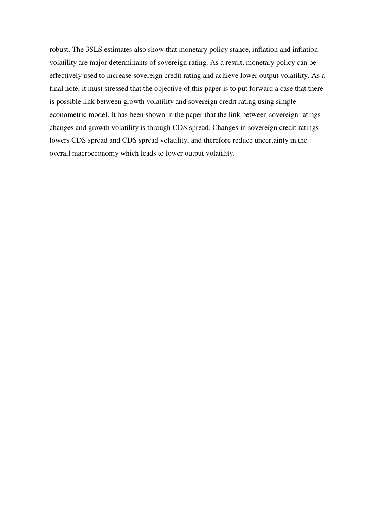robust. The 3SLS estimates also show that monetary policy stance, inflation and inflation volatility are major determinants of sovereign rating. As a result, monetary policy can be effectively used to increase sovereign credit rating and achieve lower output volatility. As a final note, it must stressed that the objective of this paper is to put forward a case that there is possible link between growth volatility and sovereign credit rating using simple econometric model. It has been shown in the paper that the link between sovereign ratings changes and growth volatility is through CDS spread. Changes in sovereign credit ratings lowers CDS spread and CDS spread volatility, and therefore reduce uncertainty in the overall macroeconomy which leads to lower output volatility.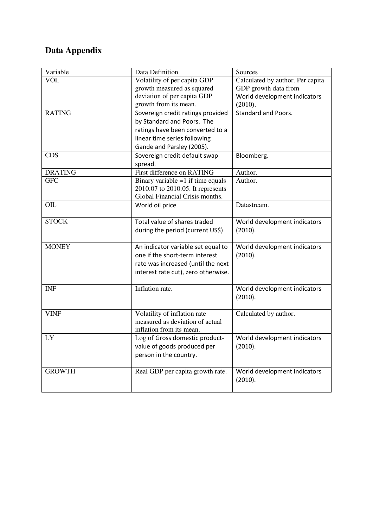## **Data Appendix**

| Variable       | Data Definition                                                                                                                                                  | Sources                                                                                             |  |
|----------------|------------------------------------------------------------------------------------------------------------------------------------------------------------------|-----------------------------------------------------------------------------------------------------|--|
| <b>VOL</b>     | Volatility of per capita GDP<br>growth measured as squared<br>deviation of per capita GDP<br>growth from its mean.                                               | Calculated by author. Per capita<br>GDP growth data from<br>World development indicators<br>(2010). |  |
| <b>RATING</b>  | Sovereign credit ratings provided<br>by Standard and Poors. The<br>ratings have been converted to a<br>linear time series following<br>Gande and Parsley (2005). | <b>Standard and Poors.</b>                                                                          |  |
| <b>CDS</b>     | Sovereign credit default swap<br>spread.                                                                                                                         | Bloomberg.                                                                                          |  |
| <b>DRATING</b> | First difference on RATING                                                                                                                                       | Author.                                                                                             |  |
| <b>GFC</b>     | Binary variable $=1$ if time equals<br>2010:07 to 2010:05. It represents<br>Global Financial Crisis months.                                                      | Author.                                                                                             |  |
| OIL            | World oil price                                                                                                                                                  | Datastream.                                                                                         |  |
| <b>STOCK</b>   | Total value of shares traded<br>during the period (current US\$)                                                                                                 | World development indicators<br>(2010).                                                             |  |
| <b>MONEY</b>   | An indicator variable set equal to<br>one if the short-term interest<br>rate was increased (until the next<br>interest rate cut), zero otherwise.                | World development indicators<br>(2010).                                                             |  |
| <b>INF</b>     | Inflation rate.                                                                                                                                                  | World development indicators<br>(2010).                                                             |  |
| <b>VINF</b>    | Volatility of inflation rate<br>measured as deviation of actual<br>inflation from its mean.                                                                      | Calculated by author.                                                                               |  |
| LY             | Log of Gross domestic product-<br>value of goods produced per<br>person in the country.                                                                          | World development indicators<br>(2010).                                                             |  |
| <b>GROWTH</b>  | Real GDP per capita growth rate.                                                                                                                                 | World development indicators<br>(2010).                                                             |  |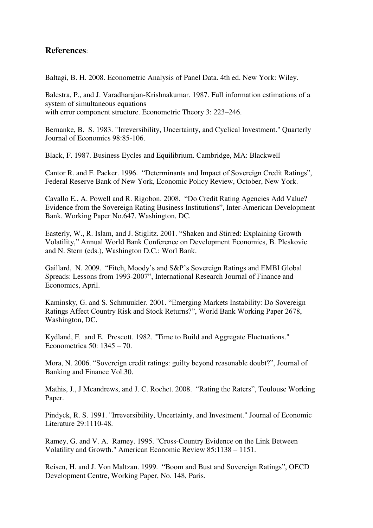#### **References**:

Baltagi, B. H. 2008. Econometric Analysis of Panel Data. 4th ed. New York: Wiley.

Balestra, P., and J. Varadharajan-Krishnakumar. 1987. Full information estimations of a system of simultaneous equations with error component structure. Econometric Theory 3: 223–246.

Bernanke, B. S. 1983. "Irreversibility, Uncertainty, and Cyclical Investment." Quarterly Journal of Economics 98:85-106.

Black, F. 1987. Business Eycles and Equilibrium. Cambridge, MA: Blackwell

Cantor R. and F. Packer. 1996. "Determinants and Impact of Sovereign Credit Ratings", Federal Reserve Bank of New York, Economic Policy Review, October, New York.

Cavallo E., A. Powell and R. Rigobon. 2008. "Do Credit Rating Agencies Add Value? Evidence from the Sovereign Rating Business Institutions", Inter-American Development Bank, Working Paper No.647, Washington, DC.

Easterly, W., R. Islam, and J. Stiglitz. 2001. "Shaken and Stirred: Explaining Growth Volatility," Annual World Bank Conference on Development Economics, B. Pleskovic and N. Stern (eds.), Washington D.C.: Worl Bank.

Gaillard, N. 2009. "Fitch, Moody's and S&P's Sovereign Ratings and EMBI Global Spreads: Lessons from 1993-2007", International Research Journal of Finance and Economics, April.

Kaminsky, G. and S. Schmuukler. 2001. "Emerging Markets Instability: Do Sovereign Ratings Affect Country Risk and Stock Returns?", World Bank Working Paper 2678, Washington, DC.

Kydland, F. and E. Prescott. 1982. "Time to Build and Aggregate Fluctuations." Econometrica 50: 1345 – 70.

Mora, N. 2006. "Sovereign credit ratings: guilty beyond reasonable doubt?", Journal of Banking and Finance Vol.30.

Mathis, J., J Mcandrews, and J. C. Rochet. 2008. "Rating the Raters", Toulouse Working Paper.

Pindyck, R. S. 1991. "Irreversibility, Uncertainty, and Investment." Journal of Economic Literature 29:1110-48.

Ramey, G. and V. A. Ramey. 1995. "Cross-Country Evidence on the Link Between Volatility and Growth." American Economic Review 85:1138 – 1151.

Reisen, H. and J. Von Maltzan. 1999. "Boom and Bust and Sovereign Ratings", OECD Development Centre, Working Paper, No. 148, Paris.